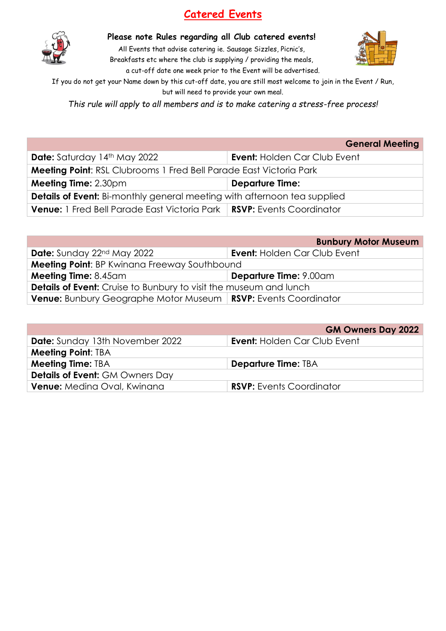## **Catered Events**



**Please note Rules regarding all Club catered events!**

All Events that advise catering ie. Sausage Sizzles, Picnic's, Breakfasts etc where the club is supplying / providing the meals,



a cut-off date one week prior to the Event will be advertised.

If you do not get your Name down by this cut-off date, you are still most welcome to join in the Event / Run, but will need to provide your own meal.

*This rule will apply to all members and is to make catering a stress-free process!*

|                                                                                       | <b>General Meeting</b>              |
|---------------------------------------------------------------------------------------|-------------------------------------|
| <b>Date:</b> Saturday 14th May 2022                                                   | <b>Event: Holden Car Club Event</b> |
| <b>Meeting Point: RSL Clubrooms 1 Fred Bell Parade East Victoria Park</b>             |                                     |
| <b>Meeting Time: 2.30pm</b>                                                           | <b>Departure Time:</b>              |
| <b>Details of Event:</b> Bi-monthly general meeting with afternoon tea supplied       |                                     |
| <b>Venue:</b> 1 Fred Bell Parade East Victoria Park   <b>RSVP:</b> Events Coordinator |                                     |

|                                                                          | <b>Bunbury Motor Museum</b>         |
|--------------------------------------------------------------------------|-------------------------------------|
| <b>Date:</b> Sunday 22 <sup>nd</sup> May 2022                            | <b>Event: Holden Car Club Event</b> |
| <b>Meeting Point: BP Kwinana Freeway Southbound</b>                      |                                     |
| <b>Meeting Time: 8.45am</b>                                              | <b>Departure Time: 9.00am</b>       |
| <b>Details of Event:</b> Cruise to Bunbury to visit the museum and lunch |                                     |
| <b>Venue:</b> Bunbury Geographe Motor Museum   RSVP: Events Coordinator  |                                     |

|                                        | <b>GM Owners Day 2022</b>           |
|----------------------------------------|-------------------------------------|
| <b>Date:</b> Sunday 13th November 2022 | <b>Event: Holden Car Club Event</b> |
| <b>Meeting Point: TBA</b>              |                                     |
| <b>Meeting Time: TBA</b>               | <b>Departure Time: TBA</b>          |
| <b>Details of Event: GM Owners Day</b> |                                     |
| <b>Venue:</b> Medina Oval, Kwinana     | <b>RSVP:</b> Events Coordinator     |